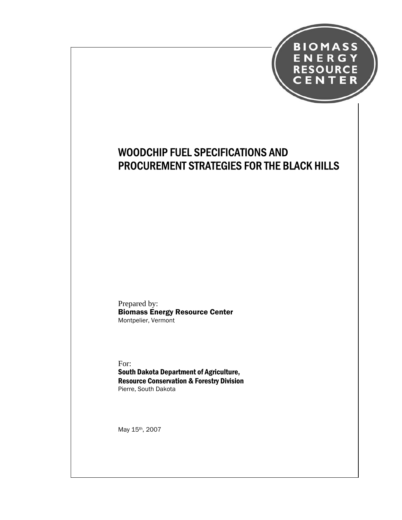

# WOODCHIP FUEL SPECIFICATIONS AND PROCUREMENT STRATEGIES FOR THE BLACK HILLS

Prepared by: Biomass Energy Resource Center Montpelier, Vermont

For: South Dakota Department of Agriculture, Resource Conservation & Forestry Division Pierre, South Dakota

May 15th, 2007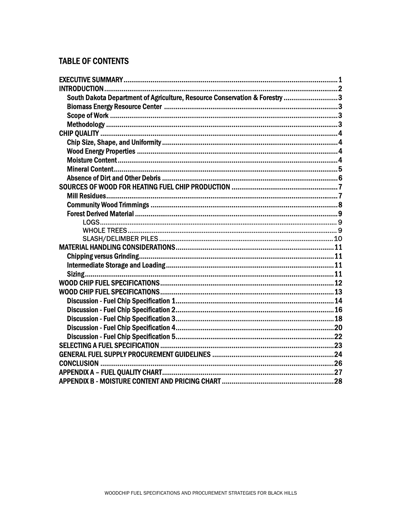# **TABLE OF CONTENTS**

| South Dakota Department of Agriculture, Resource Conservation & Forestry 3 |  |
|----------------------------------------------------------------------------|--|
|                                                                            |  |
|                                                                            |  |
|                                                                            |  |
|                                                                            |  |
|                                                                            |  |
|                                                                            |  |
|                                                                            |  |
|                                                                            |  |
|                                                                            |  |
|                                                                            |  |
|                                                                            |  |
|                                                                            |  |
|                                                                            |  |
|                                                                            |  |
|                                                                            |  |
|                                                                            |  |
|                                                                            |  |
|                                                                            |  |
|                                                                            |  |
|                                                                            |  |
|                                                                            |  |
|                                                                            |  |
|                                                                            |  |
|                                                                            |  |
|                                                                            |  |
|                                                                            |  |
|                                                                            |  |
|                                                                            |  |
|                                                                            |  |
|                                                                            |  |
|                                                                            |  |
|                                                                            |  |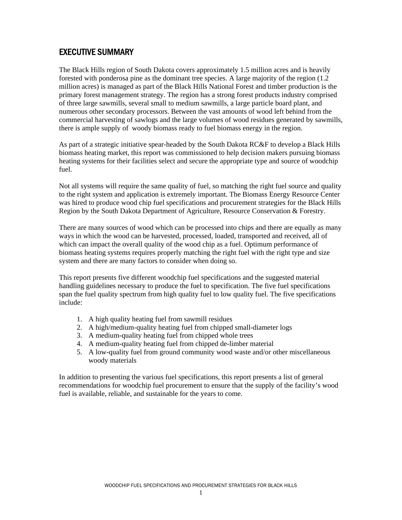## EXECUTIVE SUMMARY

The Black Hills region of South Dakota covers approximately 1.5 million acres and is heavily forested with ponderosa pine as the dominant tree species. A large majority of the region (1.2 million acres) is managed as part of the Black Hills National Forest and timber production is the primary forest management strategy. The region has a strong forest products industry comprised of three large sawmills, several small to medium sawmills, a large particle board plant, and numerous other secondary processors. Between the vast amounts of wood left behind from the commercial harvesting of sawlogs and the large volumes of wood residues generated by sawmills, there is ample supply of woody biomass ready to fuel biomass energy in the region.

As part of a strategic initiative spear-headed by the South Dakota RC&F to develop a Black Hills biomass heating market, this report was commissioned to help decision makers pursuing biomass heating systems for their facilities select and secure the appropriate type and source of woodchip fuel.

Not all systems will require the same quality of fuel, so matching the right fuel source and quality to the right system and application is extremely important. The Biomass Energy Resource Center was hired to produce wood chip fuel specifications and procurement strategies for the Black Hills Region by the South Dakota Department of Agriculture, Resource Conservation & Forestry.

There are many sources of wood which can be processed into chips and there are equally as many ways in which the wood can be harvested, processed, loaded, transported and received, all of which can impact the overall quality of the wood chip as a fuel. Optimum performance of biomass heating systems requires properly matching the right fuel with the right type and size system and there are many factors to consider when doing so.

This report presents five different woodchip fuel specifications and the suggested material handling guidelines necessary to produce the fuel to specification. The five fuel specifications span the fuel quality spectrum from high quality fuel to low quality fuel. The five specifications include:

- 1. A high quality heating fuel from sawmill residues
- 2. A high/medium-quality heating fuel from chipped small-diameter logs
- 3. A medium-quality heating fuel from chipped whole trees
- 4. A medium-quality heating fuel from chipped de-limber material
- 5. A low-quality fuel from ground community wood waste and/or other miscellaneous woody materials

In addition to presenting the various fuel specifications, this report presents a list of general recommendations for woodchip fuel procurement to ensure that the supply of the facility's wood fuel is available, reliable, and sustainable for the years to come.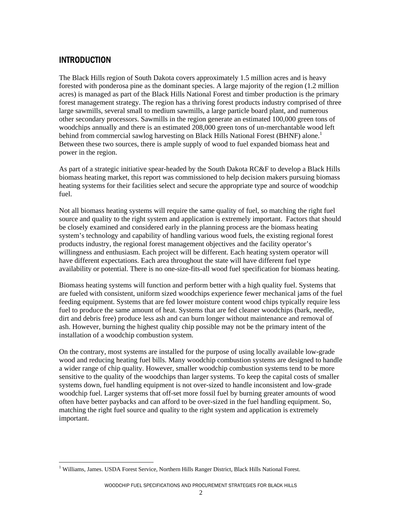## INTRODUCTION

The Black Hills region of South Dakota covers approximately 1.5 million acres and is heavy forested with ponderosa pine as the dominant species. A large majority of the region (1.2 million acres) is managed as part of the Black Hills National Forest and timber production is the primary forest management strategy. The region has a thriving forest products industry comprised of three large sawmills, several small to medium sawmills, a large particle board plant, and numerous other secondary processors. Sawmills in the region generate an estimated 100,000 green tons of woodchips annually and there is an estimated 208,000 green tons of un-merchantable wood left behind from commercial sawlog harvesting on Black Hills National Forest (BHNF) alone.<sup>1</sup> Between these two sources, there is ample supply of wood to fuel expanded biomass heat and power in the region.

As part of a strategic initiative spear-headed by the South Dakota RC&F to develop a Black Hills biomass heating market, this report was commissioned to help decision makers pursuing biomass heating systems for their facilities select and secure the appropriate type and source of woodchip fuel.

Not all biomass heating systems will require the same quality of fuel, so matching the right fuel source and quality to the right system and application is extremely important. Factors that should be closely examined and considered early in the planning process are the biomass heating system's technology and capability of handling various wood fuels, the existing regional forest products industry, the regional forest management objectives and the facility operator's willingness and enthusiasm. Each project will be different. Each heating system operator will have different expectations. Each area throughout the state will have different fuel type availability or potential. There is no one-size-fits-all wood fuel specification for biomass heating.

Biomass heating systems will function and perform better with a high quality fuel. Systems that are fueled with consistent, uniform sized woodchips experience fewer mechanical jams of the fuel feeding equipment. Systems that are fed lower moisture content wood chips typically require less fuel to produce the same amount of heat. Systems that are fed cleaner woodchips (bark, needle, dirt and debris free) produce less ash and can burn longer without maintenance and removal of ash. However, burning the highest quality chip possible may not be the primary intent of the installation of a woodchip combustion system.

On the contrary, most systems are installed for the purpose of using locally available low-grade wood and reducing heating fuel bills. Many woodchip combustion systems are designed to handle a wider range of chip quality. However, smaller woodchip combustion systems tend to be more sensitive to the quality of the woodchips than larger systems. To keep the capital costs of smaller systems down, fuel handling equipment is not over-sized to handle inconsistent and low-grade woodchip fuel. Larger systems that off-set more fossil fuel by burning greater amounts of wood often have better paybacks and can afford to be over-sized in the fuel handling equipment. So, matching the right fuel source and quality to the right system and application is extremely important.

 $\overline{a}$ <sup>1</sup> Williams, James. USDA Forest Service, Northern Hills Ranger District, Black Hills National Forest.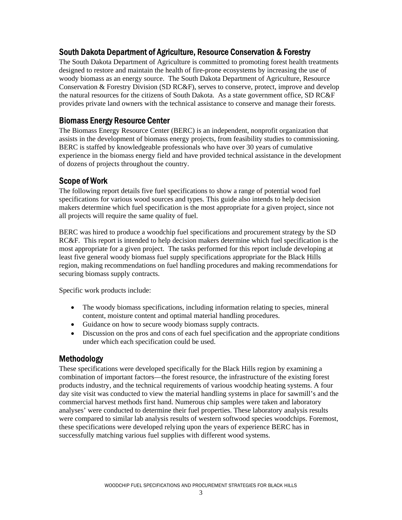## South Dakota Department of Agriculture, Resource Conservation & Forestry

The South Dakota Department of Agriculture is committed to promoting forest health treatments designed to restore and maintain the health of fire-prone ecosystems by increasing the use of woody biomass as an energy source. The South Dakota Department of Agriculture, Resource Conservation & Forestry Division (SD RC&F), serves to conserve, protect, improve and develop the natural resources for the citizens of South Dakota. As a state government office, SD RC&F provides private land owners with the technical assistance to conserve and manage their forests.

### Biomass Energy Resource Center

The Biomass Energy Resource Center (BERC) is an independent, nonprofit organization that assists in the development of biomass energy projects, from feasibility studies to commissioning. BERC is staffed by knowledgeable professionals who have over 30 years of cumulative experience in the biomass energy field and have provided technical assistance in the development of dozens of projects throughout the country.

# Scope of Work

The following report details five fuel specifications to show a range of potential wood fuel specifications for various wood sources and types. This guide also intends to help decision makers determine which fuel specification is the most appropriate for a given project, since not all projects will require the same quality of fuel.

BERC was hired to produce a woodchip fuel specifications and procurement strategy by the SD RC&F. This report is intended to help decision makers determine which fuel specification is the most appropriate for a given project. The tasks performed for this report include developing at least five general woody biomass fuel supply specifications appropriate for the Black Hills region, making recommendations on fuel handling procedures and making recommendations for securing biomass supply contracts.

Specific work products include:

- The woody biomass specifications, including information relating to species, mineral content, moisture content and optimal material handling procedures.
- Guidance on how to secure woody biomass supply contracts.
- Discussion on the pros and cons of each fuel specification and the appropriate conditions under which each specification could be used.

### Methodology

These specifications were developed specifically for the Black Hills region by examining a combination of important factors—the forest resource, the infrastructure of the existing forest products industry, and the technical requirements of various woodchip heating systems. A four day site visit was conducted to view the material handling systems in place for sawmill's and the commercial harvest methods first hand. Numerous chip samples were taken and laboratory analyses' were conducted to determine their fuel properties. These laboratory analysis results were compared to similar lab analysis results of western softwood species woodchips. Foremost, these specifications were developed relying upon the years of experience BERC has in successfully matching various fuel supplies with different wood systems.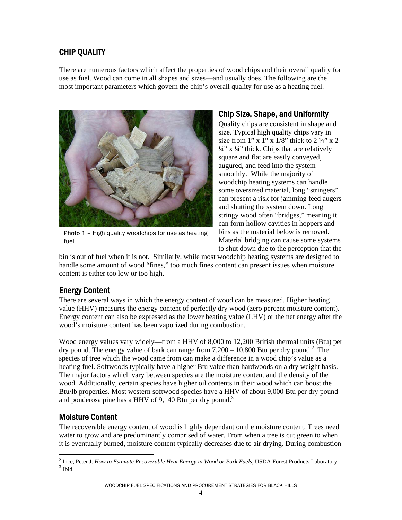# CHIP QUALITY

There are numerous factors which affect the properties of wood chips and their overall quality for use as fuel. Wood can come in all shapes and sizes—and usually does. The following are the most important parameters which govern the chip's overall quality for use as a heating fuel.



**Photo 1** – High quality woodchips for use as heating fuel

# Chip Size, Shape, and Uniformity

Quality chips are consistent in shape and size. Typical high quality chips vary in size from 1" x 1" x  $1/8$ " thick to  $2\frac{1}{4}$ " x 2  $\frac{1}{4}$ " x  $\frac{1}{4}$ " thick. Chips that are relatively square and flat are easily conveyed, augured, and feed into the system smoothly. While the majority of woodchip heating systems can handle some oversized material, long "stringers" can present a risk for jamming feed augers and shutting the system down. Long stringy wood often "bridges," meaning it can form hollow cavities in hoppers and bins as the material below is removed. Material bridging can cause some systems to shut down due to the perception that the

bin is out of fuel when it is not. Similarly, while most woodchip heating systems are designed to handle some amount of wood "fines," too much fines content can present issues when moisture content is either too low or too high.

# Energy Content

There are several ways in which the energy content of wood can be measured. Higher heating value (HHV) measures the energy content of perfectly dry wood (zero percent moisture content). Energy content can also be expressed as the lower heating value (LHV) or the net energy after the wood's moisture content has been vaporized during combustion.

Wood energy values vary widely—from a HHV of 8,000 to 12,200 British thermal units (Btu) per dry pound. The energy value of bark can range from  $7,200 - 10,800$  Btu per dry pound.<sup>2</sup> The species of tree which the wood came from can make a difference in a wood chip's value as a heating fuel. Softwoods typically have a higher Btu value than hardwoods on a dry weight basis. The major factors which vary between species are the moisture content and the density of the wood. Additionally, certain species have higher oil contents in their wood which can boost the Btu/lb properties. Most western softwood species have a HHV of about 9,000 Btu per dry pound and ponderosa pine has a HHV of 9,140 Btu per dry pound.<sup>3</sup>

# Moisture Content

The recoverable energy content of wood is highly dependant on the moisture content. Trees need water to grow and are predominantly comprised of water. From when a tree is cut green to when it is eventually burned, moisture content typically decreases due to air drying. During combustion

<sup>&</sup>lt;sup>2</sup> Ince, Peter J. *How to Estimate Recoverable Heat Energy in Wood or Bark Fuels*, USDA Forest Products Laboratory <sup>3</sup> Ibid.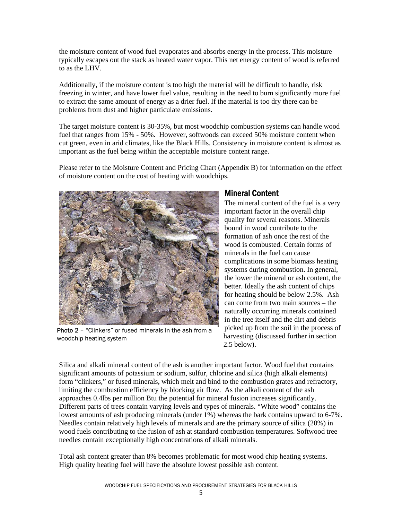the moisture content of wood fuel evaporates and absorbs energy in the process. This moisture typically escapes out the stack as heated water vapor. This net energy content of wood is referred to as the LHV.

Additionally, if the moisture content is too high the material will be difficult to handle, risk freezing in winter, and have lower fuel value, resulting in the need to burn significantly more fuel to extract the same amount of energy as a drier fuel. If the material is too dry there can be problems from dust and higher particulate emissions.

The target moisture content is 30-35%, but most woodchip combustion systems can handle wood fuel that ranges from 15% - 50%. However, softwoods can exceed 50% moisture content when cut green, even in arid climates, like the Black Hills. Consistency in moisture content is almost as important as the fuel being within the acceptable moisture content range.

Please refer to the Moisture Content and Pricing Chart (Appendix B) for information on the effect of moisture content on the cost of heating with woodchips.



Photo 2 – "Clinkers" or fused minerals in the ash from a woodchip heating system

#### Mineral Content

The mineral content of the fuel is a very important factor in the overall chip quality for several reasons. Minerals bound in wood contribute to the formation of ash once the rest of the wood is combusted. Certain forms of minerals in the fuel can cause complications in some biomass heating systems during combustion. In general, the lower the mineral or ash content, the better. Ideally the ash content of chips for heating should be below 2.5%. Ash can come from two main sources – the naturally occurring minerals contained in the tree itself and the dirt and debris picked up from the soil in the process of harvesting (discussed further in section 2.5 below).

Silica and alkali mineral content of the ash is another important factor. Wood fuel that contains significant amounts of potassium or sodium, sulfur, chlorine and silica (high alkali elements) form "clinkers," or fused minerals, which melt and bind to the combustion grates and refractory, limiting the combustion efficiency by blocking air flow. As the alkali content of the ash approaches 0.4lbs per million Btu the potential for mineral fusion increases significantly. Different parts of trees contain varying levels and types of minerals. "White wood" contains the lowest amounts of ash producing minerals (under 1%) whereas the bark contains upward to 6-7%. Needles contain relatively high levels of minerals and are the primary source of silica (20%) in wood fuels contributing to the fusion of ash at standard combustion temperatures. Softwood tree needles contain exceptionally high concentrations of alkali minerals.

Total ash content greater than 8% becomes problematic for most wood chip heating systems. High quality heating fuel will have the absolute lowest possible ash content.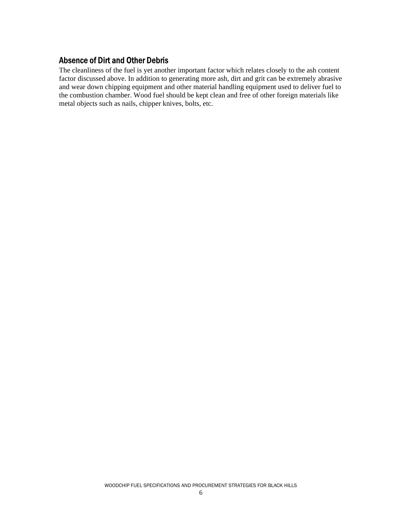### Absence of Dirt and Other Debris

The cleanliness of the fuel is yet another important factor which relates closely to the ash content factor discussed above. In addition to generating more ash, dirt and grit can be extremely abrasive and wear down chipping equipment and other material handling equipment used to deliver fuel to the combustion chamber. Wood fuel should be kept clean and free of other foreign materials like metal objects such as nails, chipper knives, bolts, etc.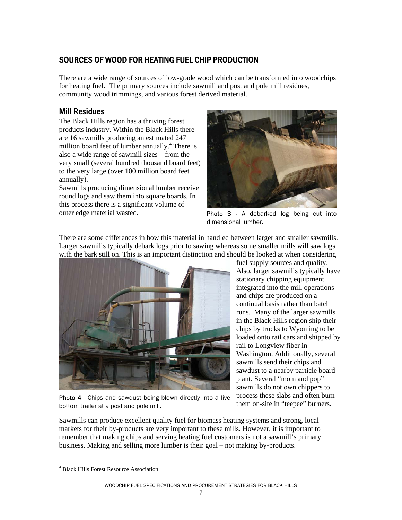# SOURCES OF WOOD FOR HEATING FUEL CHIP PRODUCTION

There are a wide range of sources of low-grade wood which can be transformed into woodchips for heating fuel. The primary sources include sawmill and post and pole mill residues, community wood trimmings, and various forest derived material.

# Mill Residues

The Black Hills region has a thriving forest products industry. Within the Black Hills there are 16 sawmills producing an estimated 247 million board feet of lumber annually.<sup>4</sup> There is also a wide range of sawmill sizes—from the very small (several hundred thousand board feet) to the very large (over 100 million board feet annually).

Sawmills producing dimensional lumber receive round logs and saw them into square boards. In this process there is a significant volume of outer edge material wasted.



Photo 3 - A debarked log being cut into dimensional lumber.

There are some differences in how this material in handled between larger and smaller sawmills. Larger sawmills typically debark logs prior to sawing whereas some smaller mills will saw logs with the bark still on. This is an important distinction and should be looked at when considering



Photo 4 -Chips and sawdust being blown directly into a live bottom trailer at a post and pole mill.

fuel supply sources and quality. Also, larger sawmills typically have stationary chipping equipment integrated into the mill operations and chips are produced on a continual basis rather than batch runs. Many of the larger sawmills in the Black Hills region ship their chips by trucks to Wyoming to be loaded onto rail cars and shipped by rail to Longview fiber in Washington. Additionally, several sawmills send their chips and sawdust to a nearby particle board plant. Several "mom and pop" sawmills do not own chippers to process these slabs and often burn them on-site in "teepee" burners.

Sawmills can produce excellent quality fuel for biomass heating systems and strong, local markets for their by-products are very important to these mills. However, it is important to remember that making chips and serving heating fuel customers is not a sawmill's primary business. Making and selling more lumber is their goal – not making by-products.

 $\overline{a}$ 4 Black Hills Forest Resource Association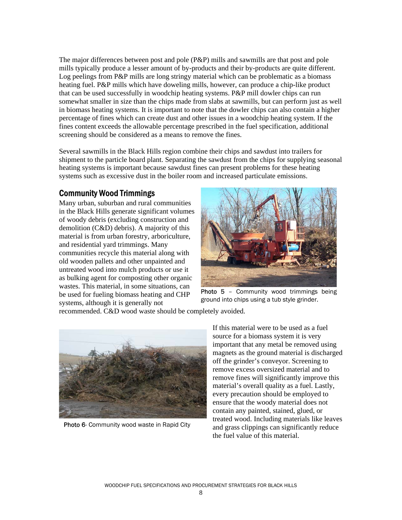The major differences between post and pole (P&P) mills and sawmills are that post and pole mills typically produce a lesser amount of by-products and their by-products are quite different. Log peelings from P&P mills are long stringy material which can be problematic as a biomass heating fuel. P&P mills which have doweling mills, however, can produce a chip-like product that can be used successfully in woodchip heating systems. P&P mill dowler chips can run somewhat smaller in size than the chips made from slabs at sawmills, but can perform just as well in biomass heating systems. It is important to note that the dowler chips can also contain a higher percentage of fines which can create dust and other issues in a woodchip heating system. If the fines content exceeds the allowable percentage prescribed in the fuel specification, additional screening should be considered as a means to remove the fines.

Several sawmills in the Black Hills region combine their chips and sawdust into trailers for shipment to the particle board plant. Separating the sawdust from the chips for supplying seasonal heating systems is important because sawdust fines can present problems for these heating systems such as excessive dust in the boiler room and increased particulate emissions.

### Community Wood Trimmings

Many urban, suburban and rural communities in the Black Hills generate significant volumes of woody debris (excluding construction and demolition (C&D) debris). A majority of this material is from urban forestry, arboriculture, and residential yard trimmings. Many communities recycle this material along with old wooden pallets and other unpainted and untreated wood into mulch products or use it as bulking agent for composting other organic wastes. This material, in some situations, can be used for fueling biomass heating and CHP systems, although it is generally not



Photo 5 - Community wood trimmings being ground into chips using a tub style grinder.

recommended. C&D wood waste should be completely avoided.



Photo 6- Community wood waste in Rapid City

If this material were to be used as a fuel source for a biomass system it is very important that any metal be removed using magnets as the ground material is discharged off the grinder's conveyor. Screening to remove excess oversized material and to remove fines will significantly improve this material's overall quality as a fuel. Lastly, every precaution should be employed to ensure that the woody material does not contain any painted, stained, glued, or treated wood. Including materials like leaves and grass clippings can significantly reduce the fuel value of this material.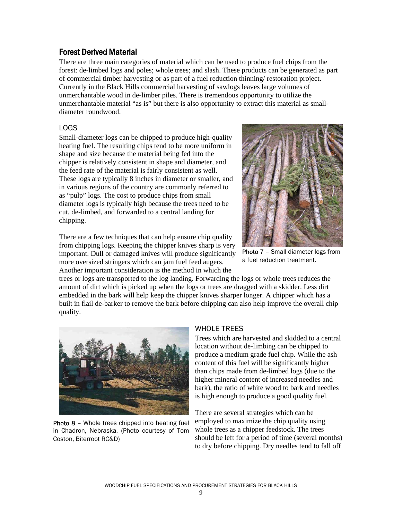## Forest Derived Material

There are three main categories of material which can be used to produce fuel chips from the forest: de-limbed logs and poles; whole trees; and slash. These products can be generated as part of commercial timber harvesting or as part of a fuel reduction thinning/ restoration project. Currently in the Black Hills commercial harvesting of sawlogs leaves large volumes of unmerchantable wood in de-limber piles. There is tremendous opportunity to utilize the unmerchantable material "as is" but there is also opportunity to extract this material as smalldiameter roundwood.

#### LOGS

Small-diameter logs can be chipped to produce high-quality heating fuel. The resulting chips tend to be more uniform in shape and size because the material being fed into the chipper is relatively consistent in shape and diameter, and the feed rate of the material is fairly consistent as well. These logs are typically 8 inches in diameter or smaller, and in various regions of the country are commonly referred to as "pulp" logs. The cost to produce chips from small diameter logs is typically high because the trees need to be cut, de-limbed, and forwarded to a central landing for chipping.

There are a few techniques that can help ensure chip quality from chipping logs. Keeping the chipper knives sharp is very important. Dull or damaged knives will produce significantly more oversized stringers which can jam fuel feed augers. Another important consideration is the method in which the



Photo 7 - Small diameter logs from a fuel reduction treatment.

trees or logs are transported to the log landing. Forwarding the logs or whole trees reduces the amount of dirt which is picked up when the logs or trees are dragged with a skidder. Less dirt embedded in the bark will help keep the chipper knives sharper longer. A chipper which has a built in flail de-barker to remove the bark before chipping can also help improve the overall chip quality.



Photo 8 - Whole trees chipped into heating fuel in Chadron, Nebraska. (Photo courtesy of Tom Coston, Biterroot RC&D)

#### WHOLE TREES

Trees which are harvested and skidded to a central location without de-limbing can be chipped to produce a medium grade fuel chip. While the ash content of this fuel will be significantly higher than chips made from de-limbed logs (due to the higher mineral content of increased needles and bark), the ratio of white wood to bark and needles is high enough to produce a good quality fuel.

There are several strategies which can be employed to maximize the chip quality using whole trees as a chipper feedstock. The trees should be left for a period of time (several months) to dry before chipping. Dry needles tend to fall off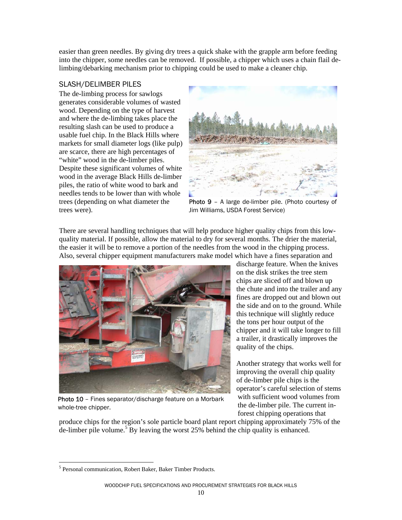easier than green needles. By giving dry trees a quick shake with the grapple arm before feeding into the chipper, some needles can be removed. If possible, a chipper which uses a chain flail delimbing/debarking mechanism prior to chipping could be used to make a cleaner chip.

#### SLASH/DELIMBER PILES

The de-limbing process for sawlogs generates considerable volumes of wasted wood. Depending on the type of harvest and where the de-limbing takes place the resulting slash can be used to produce a usable fuel chip. In the Black Hills where markets for small diameter logs (like pulp) are scarce, there are high percentages of "white" wood in the de-limber piles. Despite these significant volumes of white wood in the average Black Hills de-limber piles, the ratio of white wood to bark and needles tends to be lower than with whole trees (depending on what diameter the trees were).



Photo 9 - A large de-limber pile. (Photo courtesy of Jim Williams, USDA Forest Service)

There are several handling techniques that will help produce higher quality chips from this lowquality material. If possible, allow the material to dry for several months. The drier the material, the easier it will be to remove a portion of the needles from the wood in the chipping process. Also, several chipper equipment manufacturers make model which have a fines separation and



Photo 10 - Fines separator/discharge feature on a Morbark whole-tree chipper.

discharge feature. When the knives on the disk strikes the tree stem chips are sliced off and blown up the chute and into the trailer and any fines are dropped out and blown out the side and on to the ground. While this technique will slightly reduce the tons per hour output of the chipper and it will take longer to fill a trailer, it drastically improves the quality of the chips.

Another strategy that works well for improving the overall chip quality of de-limber pile chips is the operator's careful selection of stems with sufficient wood volumes from the de-limber pile. The current inforest chipping operations that

produce chips for the region's sole particle board plant report chipping approximately 75% of the  $\det$  de-limber pile volume.<sup>5</sup> By leaving the worst 25% behind the chip quality is enhanced.

 $\overline{a}$ <sup>5</sup> Personal communication, Robert Baker, Baker Timber Products.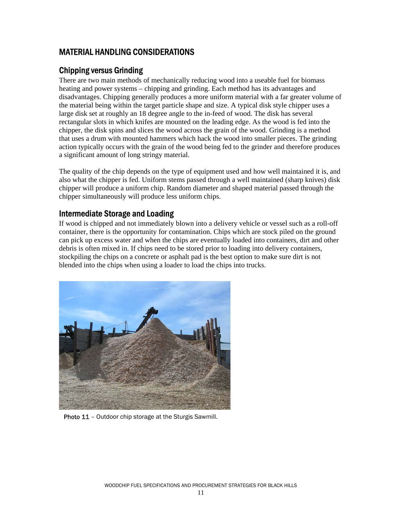# MATERIAL HANDLING CONSIDERATIONS

### Chipping versus Grinding

There are two main methods of mechanically reducing wood into a useable fuel for biomass heating and power systems – chipping and grinding. Each method has its advantages and disadvantages. Chipping generally produces a more uniform material with a far greater volume of the material being within the target particle shape and size. A typical disk style chipper uses a large disk set at roughly an 18 degree angle to the in-feed of wood. The disk has several rectangular slots in which knifes are mounted on the leading edge. As the wood is fed into the chipper, the disk spins and slices the wood across the grain of the wood. Grinding is a method that uses a drum with mounted hammers which hack the wood into smaller pieces. The grinding action typically occurs with the grain of the wood being fed to the grinder and therefore produces a significant amount of long stringy material.

The quality of the chip depends on the type of equipment used and how well maintained it is, and also what the chipper is fed. Uniform stems passed through a well maintained (sharp knives) disk chipper will produce a uniform chip. Random diameter and shaped material passed through the chipper simultaneously will produce less uniform chips.

### Intermediate Storage and Loading

If wood is chipped and not immediately blown into a delivery vehicle or vessel such as a roll-off container, there is the opportunity for contamination. Chips which are stock piled on the ground can pick up excess water and when the chips are eventually loaded into containers, dirt and other debris is often mixed in. If chips need to be stored prior to loading into delivery containers, stockpiling the chips on a concrete or asphalt pad is the best option to make sure dirt is not blended into the chips when using a loader to load the chips into trucks.



Photo 11 - Outdoor chip storage at the Sturgis Sawmill.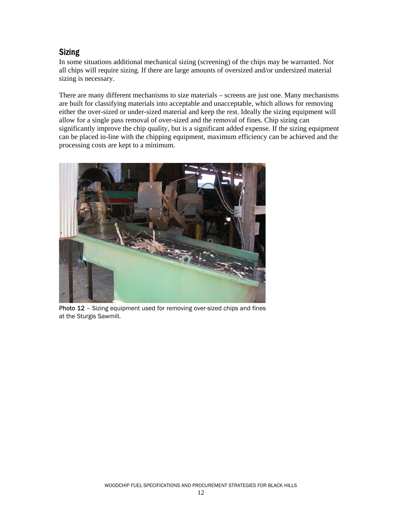# **Sizing**

In some situations additional mechanical sizing (screening) of the chips may be warranted. Not all chips will require sizing. If there are large amounts of oversized and/or undersized material sizing is necessary.

There are many different mechanisms to size materials – screens are just one. Many mechanisms are built for classifying materials into acceptable and unacceptable, which allows for removing either the over-sized or under-sized material and keep the rest. Ideally the sizing equipment will allow for a single pass removal of over-sized and the removal of fines. Chip sizing can significantly improve the chip quality, but is a significant added expense. If the sizing equipment can be placed in-line with the chipping equipment, maximum efficiency can be achieved and the processing costs are kept to a minimum.



Photo 12 - Sizing equipment used for removing over-sized chips and fines at the Sturgis Sawmill.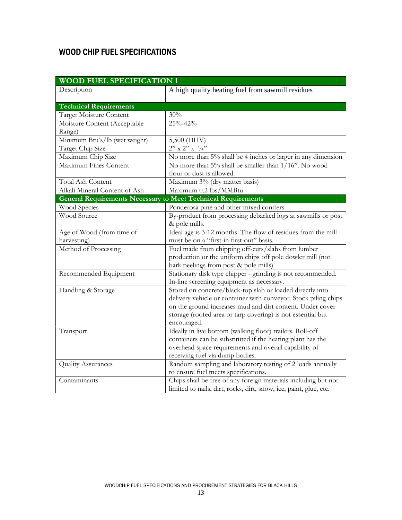# WOOD CHIP FUEL SPECIFICATIONS

| <b>WOOD FUEL SPECIFICATION 1</b> |                                                                      |  |  |  |  |  |  |
|----------------------------------|----------------------------------------------------------------------|--|--|--|--|--|--|
| Description                      | A high quality heating fuel from sawmill residues                    |  |  |  |  |  |  |
|                                  |                                                                      |  |  |  |  |  |  |
| <b>Technical Requirements</b>    |                                                                      |  |  |  |  |  |  |
| Target Moisture Content          | 30%                                                                  |  |  |  |  |  |  |
| Moisture Content (Acceptable     | 25%-42%                                                              |  |  |  |  |  |  |
| Range)                           |                                                                      |  |  |  |  |  |  |
| Minimum Btu's/lb (wet weight)    | 5,500 (HHV)                                                          |  |  |  |  |  |  |
| Target Chip Size                 | $2''$ x $2''$ x $\frac{1}{4}$                                        |  |  |  |  |  |  |
| Maximum Chip Size                | No more than 5% shall be 4 inches or larger in any dimension         |  |  |  |  |  |  |
| <b>Maximum Fines Content</b>     | No more than 5% shall be smaller than 1/16". No wood                 |  |  |  |  |  |  |
|                                  | flour or dust is allowed.                                            |  |  |  |  |  |  |
| Total Ash Content                | Maximum 3% (dry matter basis)                                        |  |  |  |  |  |  |
| Alkali Mineral Content of Ash    | Maximum 0.2 lbs/MMBtu                                                |  |  |  |  |  |  |
|                                  | <b>General Requirements Necessary to Meet Technical Requirements</b> |  |  |  |  |  |  |
| Wood Species                     | Ponderosa pine and other mixed conifers                              |  |  |  |  |  |  |
| <b>Wood Source</b>               | By-product from processing debarked logs at sawmills or post         |  |  |  |  |  |  |
|                                  | & pole mills.                                                        |  |  |  |  |  |  |
| Age of Wood (from time of        | Ideal age is 3-12 months. The flow of residues from the mill         |  |  |  |  |  |  |
| harvesting)                      | must be on a "first-in first-out" basis.                             |  |  |  |  |  |  |
| Method of Processing             | Fuel made from chipping off-cuts/slabs from lumber                   |  |  |  |  |  |  |
|                                  | production or the uniform chips off pole dowler mill (not            |  |  |  |  |  |  |
|                                  | bark peelings from post & pole mills)                                |  |  |  |  |  |  |
| Recommended Equipment            | Stationary disk type chipper - grinding is not recommended.          |  |  |  |  |  |  |
|                                  | In-line screening equipment as necessary.                            |  |  |  |  |  |  |
| Handling & Storage               | Stored on concrete/black-top slab or loaded directly into            |  |  |  |  |  |  |
|                                  | delivery vehicle or container with conveyor. Stock piling chips      |  |  |  |  |  |  |
|                                  | on the ground increases mud and dirt content. Under cover            |  |  |  |  |  |  |
|                                  | storage (roofed area or tarp covering) is not essential but          |  |  |  |  |  |  |
|                                  | encouraged.                                                          |  |  |  |  |  |  |
| Transport                        | Ideally in live bottom (walking floor) trailers. Roll-off            |  |  |  |  |  |  |
|                                  | containers can be substituted if the heating plant has the           |  |  |  |  |  |  |
|                                  | overhead space requirements and overall capability of                |  |  |  |  |  |  |
|                                  | receiving fuel via dump bodies.                                      |  |  |  |  |  |  |
| <b>Quality Assurances</b>        | Random sampling and laboratory testing of 2 loads annually           |  |  |  |  |  |  |
|                                  | to ensure fuel meets specifications.                                 |  |  |  |  |  |  |
| Contaminants                     | Chips shall be free of any foreign materials including but not       |  |  |  |  |  |  |
|                                  | limited to nails, dirt, rocks, dirt, snow, ice, paint, glue, etc.    |  |  |  |  |  |  |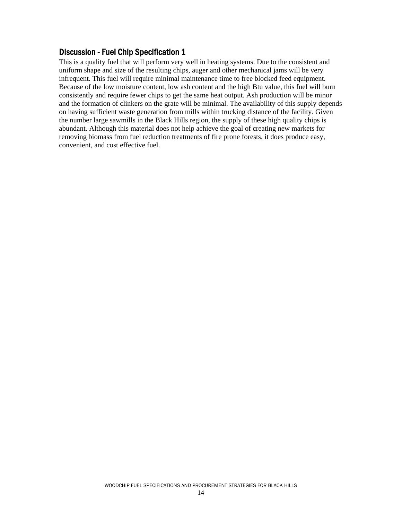This is a quality fuel that will perform very well in heating systems. Due to the consistent and uniform shape and size of the resulting chips, auger and other mechanical jams will be very infrequent. This fuel will require minimal maintenance time to free blocked feed equipment. Because of the low moisture content, low ash content and the high Btu value, this fuel will burn consistently and require fewer chips to get the same heat output. Ash production will be minor and the formation of clinkers on the grate will be minimal. The availability of this supply depends on having sufficient waste generation from mills within trucking distance of the facility. Given the number large sawmills in the Black Hills region, the supply of these high quality chips is abundant. Although this material does not help achieve the goal of creating new markets for removing biomass from fuel reduction treatments of fire prone forests, it does produce easy, convenient, and cost effective fuel.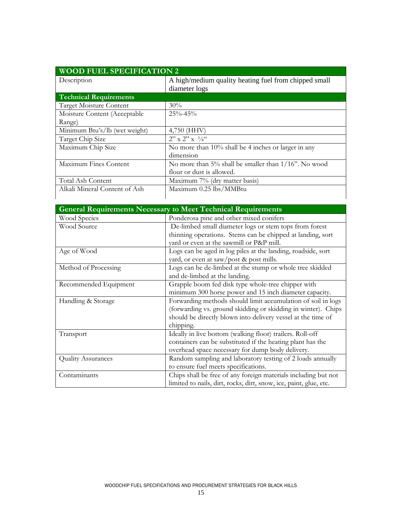| <b>WOOD FUEL SPECIFICATION 2</b> |                                                                        |  |  |  |  |  |  |
|----------------------------------|------------------------------------------------------------------------|--|--|--|--|--|--|
| Description                      | A high/medium quality heating fuel from chipped small<br>diameter logs |  |  |  |  |  |  |
| <b>Technical Requirements</b>    |                                                                        |  |  |  |  |  |  |
| Target Moisture Content          | 30%                                                                    |  |  |  |  |  |  |
| Moisture Content (Acceptable     | $25\% - 45\%$                                                          |  |  |  |  |  |  |
| Range)                           |                                                                        |  |  |  |  |  |  |
| Minimum Btu's/lb (wet weight)    | 4,750 (HHV)                                                            |  |  |  |  |  |  |
| Target Chip Size                 | $2'' \times 2'' \times 1/4$                                            |  |  |  |  |  |  |
| Maximum Chip Size                | No more than 10% shall be 4 inches or larger in any                    |  |  |  |  |  |  |
|                                  | dimension                                                              |  |  |  |  |  |  |
| Maximum Fines Content            | No more than $5\%$ shall be smaller than $1/16$ ". No wood             |  |  |  |  |  |  |
|                                  | flour or dust is allowed.                                              |  |  |  |  |  |  |
| Total Ash Content                | Maximum 7% (dry matter basis)                                          |  |  |  |  |  |  |
| Alkali Mineral Content of Ash    | Maximum 0.25 lbs/MMBtu                                                 |  |  |  |  |  |  |
|                                  |                                                                        |  |  |  |  |  |  |

|                           | <b>General Requirements Necessary to Meet Technical Requirements</b> |  |  |  |  |  |  |  |  |
|---------------------------|----------------------------------------------------------------------|--|--|--|--|--|--|--|--|
| Wood Species              | Ponderosa pine and other mixed conifers                              |  |  |  |  |  |  |  |  |
| Wood Source               | De-limbed small diameter logs or stem tops from forest               |  |  |  |  |  |  |  |  |
|                           | thinning operations. Stems can be chipped at landing, sort           |  |  |  |  |  |  |  |  |
|                           | vard or even at the sawmill or P&P mill.                             |  |  |  |  |  |  |  |  |
| Age of Wood               | Logs can be aged in log piles at the landing, roadside, sort         |  |  |  |  |  |  |  |  |
|                           | yard, or even at saw/post & post mills.                              |  |  |  |  |  |  |  |  |
| Method of Processing      | Logs can be de-limbed at the stump or whole tree skidded             |  |  |  |  |  |  |  |  |
|                           | and de-limbed at the landing.                                        |  |  |  |  |  |  |  |  |
| Recommended Equipment     | Grapple boom fed disk type whole-tree chipper with                   |  |  |  |  |  |  |  |  |
|                           | minimum 300 horse power and 15 inch diameter capacity.               |  |  |  |  |  |  |  |  |
| Handling & Storage        | Forwarding methods should limit accumulation of soil in logs         |  |  |  |  |  |  |  |  |
|                           | (forwarding vs. ground skidding or skidding in winter). Chips        |  |  |  |  |  |  |  |  |
|                           | should be directly blown into delivery vessel at the time of         |  |  |  |  |  |  |  |  |
|                           | chipping.                                                            |  |  |  |  |  |  |  |  |
| Transport                 | Ideally in live bottom (walking floor) trailers. Roll-off            |  |  |  |  |  |  |  |  |
|                           | containers can be substituted if the heating plant has the           |  |  |  |  |  |  |  |  |
|                           | overhead space necessary for dump body delivery.                     |  |  |  |  |  |  |  |  |
| <b>Quality Assurances</b> | Random sampling and laboratory testing of 2 loads annually           |  |  |  |  |  |  |  |  |
|                           | to ensure fuel meets specifications.                                 |  |  |  |  |  |  |  |  |
| Contaminants              | Chips shall be free of any foreign materials including but not       |  |  |  |  |  |  |  |  |
|                           | limited to nails, dirt, rocks, dirt, snow, ice, paint, glue, etc.    |  |  |  |  |  |  |  |  |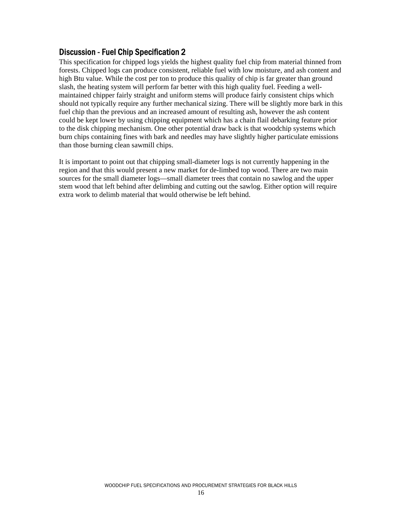This specification for chipped logs yields the highest quality fuel chip from material thinned from forests. Chipped logs can produce consistent, reliable fuel with low moisture, and ash content and high Btu value. While the cost per ton to produce this quality of chip is far greater than ground slash, the heating system will perform far better with this high quality fuel. Feeding a wellmaintained chipper fairly straight and uniform stems will produce fairly consistent chips which should not typically require any further mechanical sizing. There will be slightly more bark in this fuel chip than the previous and an increased amount of resulting ash, however the ash content could be kept lower by using chipping equipment which has a chain flail debarking feature prior to the disk chipping mechanism. One other potential draw back is that woodchip systems which burn chips containing fines with bark and needles may have slightly higher particulate emissions than those burning clean sawmill chips.

It is important to point out that chipping small-diameter logs is not currently happening in the region and that this would present a new market for de-limbed top wood. There are two main sources for the small diameter logs—small diameter trees that contain no sawlog and the upper stem wood that left behind after delimbing and cutting out the sawlog. Either option will require extra work to delimb material that would otherwise be left behind.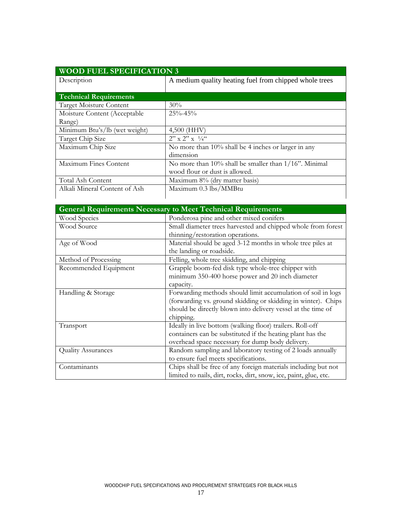| Description                    | A medium quality heating fuel from chipped whole trees      |
|--------------------------------|-------------------------------------------------------------|
|                                |                                                             |
| <b>Technical Requirements</b>  |                                                             |
| <b>Target Moisture Content</b> | $30\%$                                                      |
| Moisture Content (Acceptable   | $25\% - 45\%$                                               |
| Range)                         |                                                             |
| Minimum Btu's/lb (wet weight)  | $4,500$ (HHV)                                               |
| Target Chip Size               | $2'' \times 2'' \times 1/4$                                 |
| Maximum Chip Size              | No more than $10\%$ shall be 4 inches or larger in any      |
|                                | dimension                                                   |
| Maximum Fines Content          | No more than $10\%$ shall be smaller than $1/16$ ". Minimal |
|                                | wood flour or dust is allowed.                              |
| Total Ash Content              | Maximum 8% (dry matter basis)                               |
| Alkali Mineral Content of Ash  | Maximum 0.3 lbs/MMBtu                                       |

|                           | <b>General Requirements Necessary to Meet Technical Requirements</b> |
|---------------------------|----------------------------------------------------------------------|
| Wood Species              | Ponderosa pine and other mixed conifers                              |
| Wood Source               | Small diameter trees harvested and chipped whole from forest         |
|                           | thinning/restoration operations.                                     |
| Age of Wood               | Material should be aged 3-12 months in whole tree piles at           |
|                           | the landing or roadside.                                             |
| Method of Processing      | Felling, whole tree skidding, and chipping                           |
| Recommended Equipment     | Grapple boom-fed disk type whole-tree chipper with                   |
|                           | minimum 350-400 horse power and 20 inch diameter                     |
|                           | capacity.                                                            |
| Handling & Storage        | Forwarding methods should limit accumulation of soil in logs         |
|                           | (forwarding vs. ground skidding or skidding in winter). Chips        |
|                           | should be directly blown into delivery vessel at the time of         |
|                           | chipping.                                                            |
| Transport                 | Ideally in live bottom (walking floor) trailers. Roll-off            |
|                           | containers can be substituted if the heating plant has the           |
|                           | overhead space necessary for dump body delivery.                     |
| <b>Quality Assurances</b> | Random sampling and laboratory testing of 2 loads annually           |
|                           | to ensure fuel meets specifications.                                 |
| Contaminants              | Chips shall be free of any foreign materials including but not       |
|                           | limited to nails, dirt, rocks, dirt, snow, ice, paint, glue, etc.    |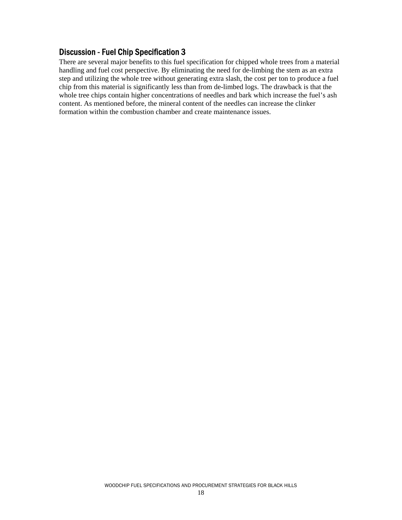There are several major benefits to this fuel specification for chipped whole trees from a material handling and fuel cost perspective. By eliminating the need for de-limbing the stem as an extra step and utilizing the whole tree without generating extra slash, the cost per ton to produce a fuel chip from this material is significantly less than from de-limbed logs. The drawback is that the whole tree chips contain higher concentrations of needles and bark which increase the fuel's ash content. As mentioned before, the mineral content of the needles can increase the clinker formation within the combustion chamber and create maintenance issues.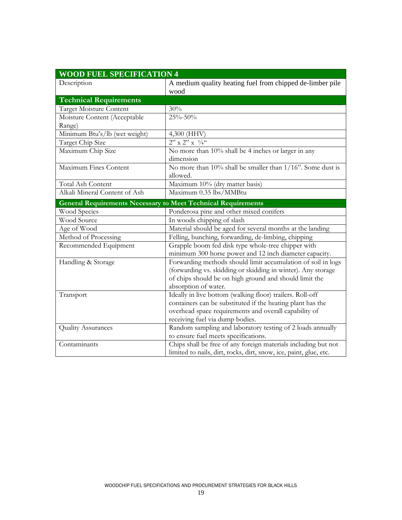| <b>WOOD FUEL SPECIFICATION 4</b> |                                                                                                                                                                                                                     |
|----------------------------------|---------------------------------------------------------------------------------------------------------------------------------------------------------------------------------------------------------------------|
| Description                      | A medium quality heating fuel from chipped de-limber pile<br>wood                                                                                                                                                   |
| <b>Technical Requirements</b>    |                                                                                                                                                                                                                     |
| <b>Target Moisture Content</b>   | 30%                                                                                                                                                                                                                 |
| Moisture Content (Acceptable     | 25%-50%                                                                                                                                                                                                             |
| Range)                           |                                                                                                                                                                                                                     |
| Minimum Btu's/lb (wet weight)    | 4,300 (HHV)                                                                                                                                                                                                         |
| Target Chip Size                 | $2'' \times 2'' \times \frac{1}{4}$                                                                                                                                                                                 |
| Maximum Chip Size                | No more than 10% shall be 4 inches or larger in any<br>dimension                                                                                                                                                    |
| Maximum Fines Content            | No more than $10\%$ shall be smaller than $1/16$ ". Some dust is<br>allowed.                                                                                                                                        |
| <b>Total Ash Content</b>         | Maximum 10% (dry matter basis)                                                                                                                                                                                      |
| Alkali Mineral Content of Ash    | Maximum 0.35 lbs/MMBtu                                                                                                                                                                                              |
|                                  | <b>General Requirements Necessary to Meet Technical Requirements</b>                                                                                                                                                |
| Wood Species                     | Ponderosa pine and other mixed conifers                                                                                                                                                                             |
| Wood Source                      | In woods chipping of slash                                                                                                                                                                                          |
| Age of Wood                      | Material should be aged for several months at the landing                                                                                                                                                           |
| Method of Processing             | Felling, bunching, forwarding, de-limbing, chipping                                                                                                                                                                 |
| Recommended Equipment            | Grapple boom fed disk type whole-tree chipper with<br>minimum 300 horse power and 12 inch diameter capacity.                                                                                                        |
| Handling & Storage               | Forwarding methods should limit accumulation of soil in logs<br>(forwarding vs. skidding or skidding in winter). Any storage<br>of chips should be on high ground and should limit the<br>absorption of water.      |
| Transport                        | Ideally in live bottom (walking floor) trailers. Roll-off<br>containers can be substituted if the heating plant has the<br>overhead space requirements and overall capability of<br>receiving fuel via dump bodies. |
| <b>Quality Assurances</b>        | Random sampling and laboratory testing of 2 loads annually<br>to ensure fuel meets specifications.                                                                                                                  |
| Contaminants                     | Chips shall be free of any foreign materials including but not<br>limited to nails, dirt, rocks, dirt, snow, ice, paint, glue, etc.                                                                                 |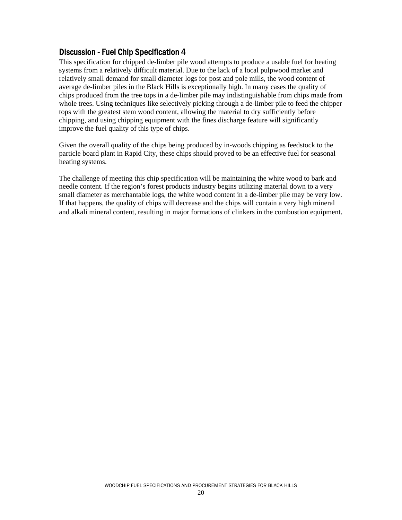This specification for chipped de-limber pile wood attempts to produce a usable fuel for heating systems from a relatively difficult material. Due to the lack of a local pulpwood market and relatively small demand for small diameter logs for post and pole mills, the wood content of average de-limber piles in the Black Hills is exceptionally high. In many cases the quality of chips produced from the tree tops in a de-limber pile may indistinguishable from chips made from whole trees. Using techniques like selectively picking through a de-limber pile to feed the chipper tops with the greatest stem wood content, allowing the material to dry sufficiently before chipping, and using chipping equipment with the fines discharge feature will significantly improve the fuel quality of this type of chips.

Given the overall quality of the chips being produced by in-woods chipping as feedstock to the particle board plant in Rapid City, these chips should proved to be an effective fuel for seasonal heating systems.

The challenge of meeting this chip specification will be maintaining the white wood to bark and needle content. If the region's forest products industry begins utilizing material down to a very small diameter as merchantable logs, the white wood content in a de-limber pile may be very low. If that happens, the quality of chips will decrease and the chips will contain a very high mineral and alkali mineral content, resulting in major formations of clinkers in the combustion equipment.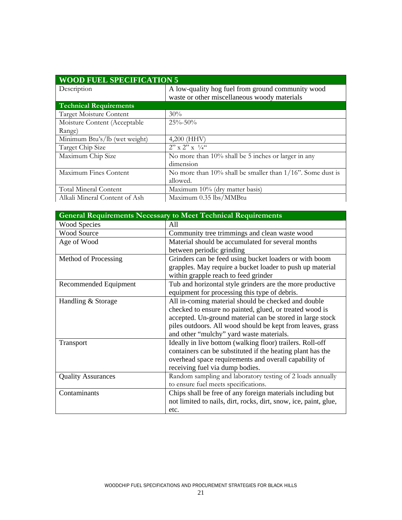| <b>WOOD FUEL SPECIFICATION 5</b> |                                                                  |  |  |  |  |  |  |
|----------------------------------|------------------------------------------------------------------|--|--|--|--|--|--|
| Description                      | A low-quality hog fuel from ground community wood                |  |  |  |  |  |  |
|                                  | waste or other miscellaneous woody materials                     |  |  |  |  |  |  |
| <b>Technical Requirements</b>    |                                                                  |  |  |  |  |  |  |
| Target Moisture Content          | 30%                                                              |  |  |  |  |  |  |
| Moisture Content (Acceptable     | $25\% - 50\%$                                                    |  |  |  |  |  |  |
| Range)                           |                                                                  |  |  |  |  |  |  |
| Minimum Btu's/lb (wet weight)    | $4,200$ (HHV)                                                    |  |  |  |  |  |  |
| Target Chip Size                 | $2'' \times 2'' \times 1/4$                                      |  |  |  |  |  |  |
| Maximum Chip Size                | No more than $10\%$ shall be 5 inches or larger in any           |  |  |  |  |  |  |
|                                  | dimension                                                        |  |  |  |  |  |  |
| Maximum Fines Content            | No more than $10\%$ shall be smaller than $1/16$ ". Some dust is |  |  |  |  |  |  |
|                                  | allowed.                                                         |  |  |  |  |  |  |
| <b>Total Mineral Content</b>     | Maximum 10% (dry matter basis)                                   |  |  |  |  |  |  |
| Alkali Mineral Content of Ash    | Maximum 0.35 lbs/MMBtu                                           |  |  |  |  |  |  |

|                           | <b>General Requirements Necessary to Meet Technical Requirements</b> |  |  |  |  |  |  |
|---------------------------|----------------------------------------------------------------------|--|--|--|--|--|--|
| <b>Wood Species</b>       | All                                                                  |  |  |  |  |  |  |
| <b>Wood Source</b>        | Community tree trimmings and clean waste wood                        |  |  |  |  |  |  |
| Age of Wood               | Material should be accumulated for several months                    |  |  |  |  |  |  |
|                           | between periodic grinding                                            |  |  |  |  |  |  |
| Method of Processing      | Grinders can be feed using bucket loaders or with boom               |  |  |  |  |  |  |
|                           | grapples. May require a bucket loader to push up material            |  |  |  |  |  |  |
|                           | within grapple reach to feed grinder                                 |  |  |  |  |  |  |
| Recommended Equipment     | Tub and horizontal style grinders are the more productive            |  |  |  |  |  |  |
|                           | equipment for processing this type of debris.                        |  |  |  |  |  |  |
| Handling & Storage        | All in-coming material should be checked and double                  |  |  |  |  |  |  |
|                           | checked to ensure no painted, glued, or treated wood is              |  |  |  |  |  |  |
|                           | accepted. Un-ground material can be stored in large stock            |  |  |  |  |  |  |
|                           | piles outdoors. All wood should be kept from leaves, grass           |  |  |  |  |  |  |
|                           | and other "mulchy" yard waste materials.                             |  |  |  |  |  |  |
| <b>Transport</b>          | Ideally in live bottom (walking floor) trailers. Roll-off            |  |  |  |  |  |  |
|                           | containers can be substituted if the heating plant has the           |  |  |  |  |  |  |
|                           | overhead space requirements and overall capability of                |  |  |  |  |  |  |
|                           | receiving fuel via dump bodies.                                      |  |  |  |  |  |  |
| <b>Quality Assurances</b> | Random sampling and laboratory testing of 2 loads annually           |  |  |  |  |  |  |
|                           | to ensure fuel meets specifications.                                 |  |  |  |  |  |  |
| Contaminants              | Chips shall be free of any foreign materials including but           |  |  |  |  |  |  |
|                           | not limited to nails, dirt, rocks, dirt, snow, ice, paint, glue,     |  |  |  |  |  |  |
|                           | etc.                                                                 |  |  |  |  |  |  |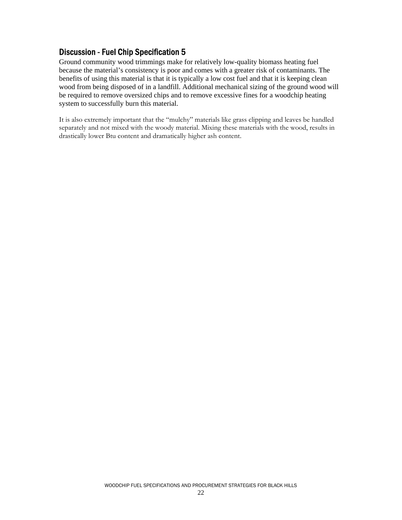Ground community wood trimmings make for relatively low-quality biomass heating fuel because the material's consistency is poor and comes with a greater risk of contaminants. The benefits of using this material is that it is typically a low cost fuel and that it is keeping clean wood from being disposed of in a landfill. Additional mechanical sizing of the ground wood will be required to remove oversized chips and to remove excessive fines for a woodchip heating system to successfully burn this material.

It is also extremely important that the "mulchy" materials like grass clipping and leaves be handled separately and not mixed with the woody material. Mixing these materials with the wood, results in drastically lower Btu content and dramatically higher ash content.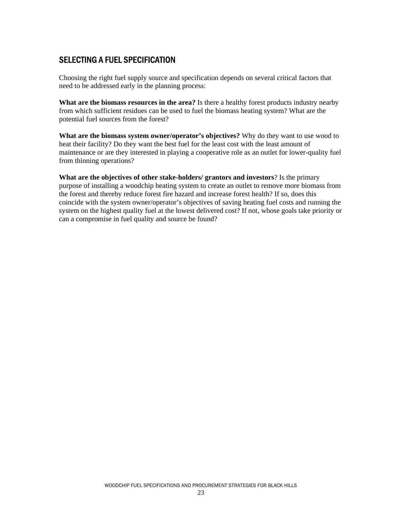# SELECTING A FUEL SPECIFICATION

Choosing the right fuel supply source and specification depends on several critical factors that need to be addressed early in the planning process:

**What are the biomass resources in the area?** Is there a healthy forest products industry nearby from which sufficient residues can be used to fuel the biomass heating system? What are the potential fuel sources from the forest?

**What are the biomass system owner/operator's objectives?** Why do they want to use wood to heat their facility? Do they want the best fuel for the least cost with the least amount of maintenance or are they interested in playing a cooperative role as an outlet for lower-quality fuel from thinning operations?

**What are the objectives of other stake-holders/ grantors and investors**? Is the primary purpose of installing a woodchip heating system to create an outlet to remove more biomass from the forest and thereby reduce forest fire hazard and increase forest health? If so, does this coincide with the system owner/operator's objectives of saving heating fuel costs and running the system on the highest quality fuel at the lowest delivered cost? If not, whose goals take priority or can a compromise in fuel quality and source be found?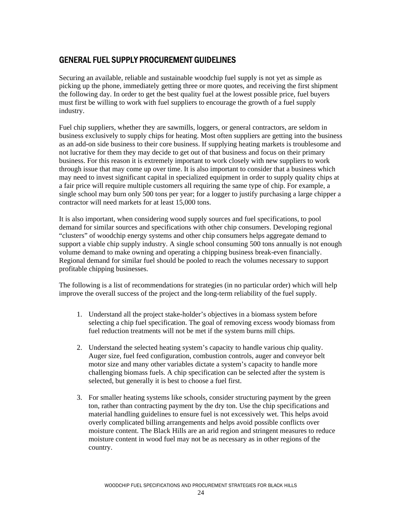## GENERAL FUEL SUPPLY PROCUREMENT GUIDELINES

Securing an available, reliable and sustainable woodchip fuel supply is not yet as simple as picking up the phone, immediately getting three or more quotes, and receiving the first shipment the following day. In order to get the best quality fuel at the lowest possible price, fuel buyers must first be willing to work with fuel suppliers to encourage the growth of a fuel supply industry.

Fuel chip suppliers, whether they are sawmills, loggers, or general contractors, are seldom in business exclusively to supply chips for heating. Most often suppliers are getting into the business as an add-on side business to their core business. If supplying heating markets is troublesome and not lucrative for them they may decide to get out of that business and focus on their primary business. For this reason it is extremely important to work closely with new suppliers to work through issue that may come up over time. It is also important to consider that a business which may need to invest significant capital in specialized equipment in order to supply quality chips at a fair price will require multiple customers all requiring the same type of chip. For example, a single school may burn only 500 tons per year; for a logger to justify purchasing a large chipper a contractor will need markets for at least 15,000 tons.

It is also important, when considering wood supply sources and fuel specifications, to pool demand for similar sources and specifications with other chip consumers. Developing regional "clusters" of woodchip energy systems and other chip consumers helps aggregate demand to support a viable chip supply industry. A single school consuming 500 tons annually is not enough volume demand to make owning and operating a chipping business break-even financially. Regional demand for similar fuel should be pooled to reach the volumes necessary to support profitable chipping businesses.

The following is a list of recommendations for strategies (in no particular order) which will help improve the overall success of the project and the long-term reliability of the fuel supply.

- 1. Understand all the project stake-holder's objectives in a biomass system before selecting a chip fuel specification. The goal of removing excess woody biomass from fuel reduction treatments will not be met if the system burns mill chips.
- 2. Understand the selected heating system's capacity to handle various chip quality. Auger size, fuel feed configuration, combustion controls, auger and conveyor belt motor size and many other variables dictate a system's capacity to handle more challenging biomass fuels. A chip specification can be selected after the system is selected, but generally it is best to choose a fuel first.
- 3. For smaller heating systems like schools, consider structuring payment by the green ton, rather than contracting payment by the dry ton. Use the chip specifications and material handling guidelines to ensure fuel is not excessively wet. This helps avoid overly complicated billing arrangements and helps avoid possible conflicts over moisture content. The Black Hills are an arid region and stringent measures to reduce moisture content in wood fuel may not be as necessary as in other regions of the country.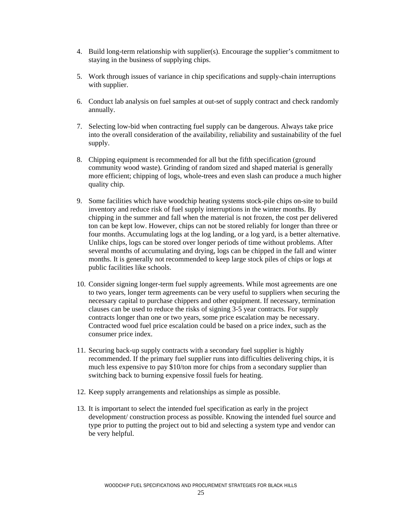- 4. Build long-term relationship with supplier(s). Encourage the supplier's commitment to staying in the business of supplying chips.
- 5. Work through issues of variance in chip specifications and supply-chain interruptions with supplier.
- 6. Conduct lab analysis on fuel samples at out-set of supply contract and check randomly annually.
- 7. Selecting low-bid when contracting fuel supply can be dangerous. Always take price into the overall consideration of the availability, reliability and sustainability of the fuel supply.
- 8. Chipping equipment is recommended for all but the fifth specification (ground community wood waste). Grinding of random sized and shaped material is generally more efficient; chipping of logs, whole-trees and even slash can produce a much higher quality chip.
- 9. Some facilities which have woodchip heating systems stock-pile chips on-site to build inventory and reduce risk of fuel supply interruptions in the winter months. By chipping in the summer and fall when the material is not frozen, the cost per delivered ton can be kept low. However, chips can not be stored reliably for longer than three or four months. Accumulating logs at the log landing, or a log yard, is a better alternative. Unlike chips, logs can be stored over longer periods of time without problems. After several months of accumulating and drying, logs can be chipped in the fall and winter months. It is generally not recommended to keep large stock piles of chips or logs at public facilities like schools.
- 10. Consider signing longer-term fuel supply agreements. While most agreements are one to two years, longer term agreements can be very useful to suppliers when securing the necessary capital to purchase chippers and other equipment. If necessary, termination clauses can be used to reduce the risks of signing 3-5 year contracts. For supply contracts longer than one or two years, some price escalation may be necessary. Contracted wood fuel price escalation could be based on a price index, such as the consumer price index.
- 11. Securing back-up supply contracts with a secondary fuel supplier is highly recommended. If the primary fuel supplier runs into difficulties delivering chips, it is much less expensive to pay \$10/ton more for chips from a secondary supplier than switching back to burning expensive fossil fuels for heating.
- 12. Keep supply arrangements and relationships as simple as possible.
- 13. It is important to select the intended fuel specification as early in the project development/ construction process as possible. Knowing the intended fuel source and type prior to putting the project out to bid and selecting a system type and vendor can be very helpful.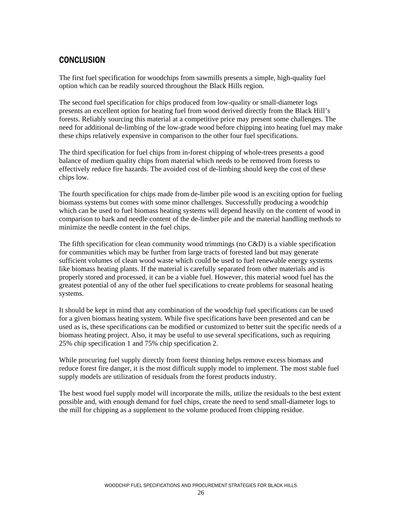# **CONCLUSION**

The first fuel specification for woodchips from sawmills presents a simple, high-quality fuel option which can be readily sourced throughout the Black Hills region.

The second fuel specification for chips produced from low-quality or small-diameter logs presents an excellent option for heating fuel from wood derived directly from the Black Hill's forests. Reliably sourcing this material at a competitive price may present some challenges. The need for additional de-limbing of the low-grade wood before chipping into heating fuel may make these chips relatively expensive in comparison to the other four fuel specifications.

The third specification for fuel chips from in-forest chipping of whole-trees presents a good balance of medium quality chips from material which needs to be removed from forests to effectively reduce fire hazards. The avoided cost of de-limbing should keep the cost of these chips low.

The fourth specification for chips made from de-limber pile wood is an exciting option for fueling biomass systems but comes with some minor challenges. Successfully producing a woodchip which can be used to fuel biomass heating systems will depend heavily on the content of wood in comparison to bark and needle content of the de-limber pile and the material handling methods to minimize the needle content in the fuel chips.

The fifth specification for clean community wood trimmings (no  $C&D$ ) is a viable specification for communities which may be further from large tracts of forested land but may generate sufficient volumes of clean wood waste which could be used to fuel renewable energy systems like biomass heating plants. If the material is carefully separated from other materials and is properly stored and processed, it can be a viable fuel. However, this material wood fuel has the greatest potential of any of the other fuel specifications to create problems for seasonal heating systems.

It should be kept in mind that any combination of the woodchip fuel specifications can be used for a given biomass heating system. While five specifications have been presented and can be used as is, these specifications can be modified or customized to better suit the specific needs of a biomass heating project. Also, it may be useful to use several specifications, such as requiring 25% chip specification 1 and 75% chip specification 2.

While procuring fuel supply directly from forest thinning helps remove excess biomass and reduce forest fire danger, it is the most difficult supply model to implement. The most stable fuel supply models are utilization of residuals from the forest products industry.

The best wood fuel supply model will incorporate the mills, utilize the residuals to the best extent possible and, with enough demand for fuel chips, create the need to send small-diameter logs to the mill for chipping as a supplement to the volume produced from chipping residue.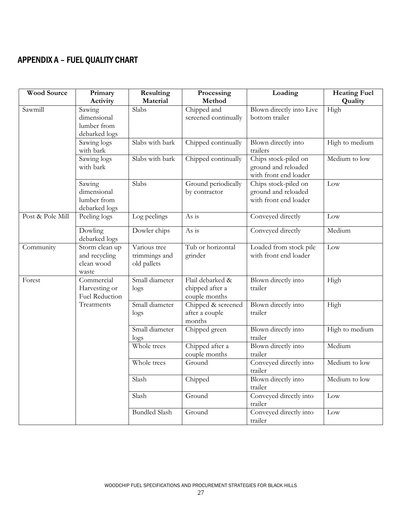# APPENDIX A – FUEL QUALITY CHART

| <b>Wood Source</b>                                                                    | Primary<br>Activity                                    | Resulting<br>Material                                | Processing<br>Method                           | Loading                                                              | <b>Heating Fuel</b><br>Quality |  |  |
|---------------------------------------------------------------------------------------|--------------------------------------------------------|------------------------------------------------------|------------------------------------------------|----------------------------------------------------------------------|--------------------------------|--|--|
| Sawmill                                                                               | Sawing<br>dimensional<br>lumber from<br>debarked logs  | Slabs                                                | Chipped and<br>screened continually            | Blown directly into Live<br>bottom trailer                           | High                           |  |  |
|                                                                                       | Sawing logs<br>with bark                               | Slabs with bark                                      | Chipped continually                            | Blown directly into<br>trailers                                      | High to medium                 |  |  |
|                                                                                       | Sawing logs<br>with bark                               | Slabs with bark                                      | Chipped continually                            | Chips stock-piled on<br>ground and reloaded<br>with front end loader | Medium to low                  |  |  |
|                                                                                       | Sawing<br>dimensional<br>lumber from<br>debarked logs  | Slabs                                                | Ground periodically<br>by contractor           | Chips stock-piled on<br>ground and reloaded<br>with front end loader | Low                            |  |  |
| Post & Pole Mill                                                                      | Peeling logs                                           | Log peelings                                         | As is                                          | Conveyed directly                                                    | Low                            |  |  |
|                                                                                       | Dowling<br>debarked logs                               | Dowler chips                                         | As is                                          | Conveyed directly                                                    | Medium                         |  |  |
| Community                                                                             | Storm clean up<br>and recycling<br>clean wood<br>waste | Various tree<br>trimmings and<br>old pallets         | Tub or horizontal<br>grinder                   | Loaded from stock pile<br>with front end loader                      | Low                            |  |  |
| Commercial<br>Small diameter<br>Forest<br>Harvesting or<br>$\log s$<br>Fuel Reduction |                                                        | Flail debarked &<br>chipped after a<br>couple months | Blown directly into<br>trailer                 |                                                                      |                                |  |  |
|                                                                                       | Treatments                                             | Small diameter<br>$\log s$                           | Chipped & screened<br>after a couple<br>months | Blown directly into<br>trailer                                       | High                           |  |  |
|                                                                                       |                                                        | Small diameter<br>$\log s$                           | Chipped green                                  | Blown directly into<br>trailer                                       | High to medium                 |  |  |
|                                                                                       |                                                        | Whole trees                                          | Chipped after a<br>couple months               | Blown directly into<br>trailer                                       | Medium                         |  |  |
|                                                                                       |                                                        | Whole trees                                          | Ground                                         | Conveyed directly into<br>trailer                                    | Medium to low                  |  |  |
|                                                                                       |                                                        | Slash                                                | Chipped                                        | Blown directly into<br>trailer                                       | Medium to low                  |  |  |
|                                                                                       |                                                        | Slash                                                | Ground                                         | Conveyed directly into<br>trailer                                    | Low                            |  |  |
|                                                                                       |                                                        | <b>Bundled Slash</b>                                 | Ground                                         | Conveyed directly into<br>trailer                                    | Low                            |  |  |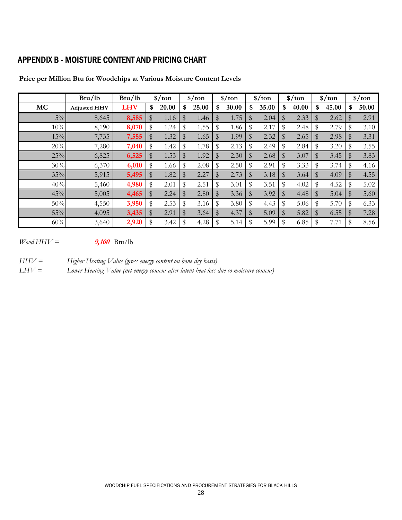# APPENDIX B - MOISTURE CONTENT AND PRICING CHART

|           | Btu/lb              | Btu/lb     | $\frac{\sinh(\theta)}{\sinh(\theta)}$ |               | $\frac{\sinh(\theta)}{\sinh(\theta)}$ |                | $\frac{\sinh(\theta)}{\sinh(\theta)}$ | $\frac{\sinh(\theta)}{\sinh(\theta)}$ |       | $\frac{\sinh(\theta)}{\sinh(\theta)}$ | $\frac{\sinh(\theta)}{\sinh(\theta)}$ |              | $\frac{\sqrt{2}}{2}$ |
|-----------|---------------------|------------|---------------------------------------|---------------|---------------------------------------|----------------|---------------------------------------|---------------------------------------|-------|---------------------------------------|---------------------------------------|--------------|----------------------|
| <b>MC</b> | <b>Adjusted HHV</b> | <b>LHV</b> | \$<br>20.00                           | \$            | 25.00                                 | \$             | 30.00                                 | \$<br>35.00                           | \$    | 40.00                                 | \$<br>45.00                           | \$           | 50.00                |
| $5\%$     | 8,645               | 8,585      | \$<br>1.16                            | $\$\$         | 1.46                                  | $\$\$          | 1.75                                  | \$<br>2.04                            | \$    | 2.33                                  | \$<br>2.62                            | \$           | 2.91                 |
| 10%       | 8,190               | 8,070      | \$<br>1.24                            | \$            | 1.55                                  | $\mathfrak{F}$ | 1.86                                  | \$<br>2.17                            | \$    | 2.48                                  | \$<br>2.79                            | \$           | 3.10                 |
| 15%       | 7,735               | 7,555      | \$<br>1.32                            | $\frac{4}{3}$ | 1.65                                  | $\mathfrak{B}$ | 1.99                                  | \$<br>2.32                            | \$    | 2.65                                  | \$<br>2.98                            | \$           | 3.31                 |
| 20%       | 7,280               | 7,040      | \$<br>1.42                            | \$            | 1.78                                  | \$             | 2.13                                  | \$<br>2.49                            | \$    | 2.84                                  | \$<br>3.20                            | \$           | 3.55                 |
| 25%       | 6,825               | 6,525      | \$<br>1.53                            | \$            | 1.92                                  | \$             | 2.30                                  | \$<br>2.68                            | $\$\$ | 3.07                                  | \$<br>3.45                            | \$           | 3.83                 |
| 30%       | 6,370               | 6,010      | \$<br>1.66                            | \$            | 2.08                                  | \$             | 2.50                                  | \$<br>2.91                            |       | 3.33                                  | \$<br>3.74                            | \$           | 4.16                 |
| 35%       | 5,915               | 5,495      | \$<br>1.82                            | $\$\$         | 2.27                                  | \$             | 2.73                                  | \$<br>3.18                            | $\$\$ | 3.64                                  | \$<br>4.09                            | \$           | 4.55                 |
| 40%       | 5,460               | 4,980      | \$<br>2.01                            | \$            | 2.51                                  | \$             | 3.01                                  | \$<br>3.51                            | \$    | 4.02                                  | \$<br>4.52                            | \$           | 5.02                 |
| 45%       | 5,005               | 4,465      | \$<br>2.24                            | $\frac{4}{3}$ | 2.80                                  | $\$\$          | 3.36                                  | \$<br>3.92                            | \$    | 4.48                                  | \$<br>5.04                            | \$           | 5.60                 |
| 50%       | 4,550               | 3,950      | \$<br>2.53                            | \$            | 3.16                                  | \$             | 3.80                                  | \$<br>4.43                            | \$    | 5.06                                  | \$<br>5.70                            | \$           | 6.33                 |
| 55%       | 4,095               | 3,435      | \$<br>2.91                            | \$            | 3.64                                  | $\mathbb{S}$   | 4.37                                  | \$<br>5.09                            | \$    | 5.82                                  | \$<br>6.55                            | $\mathbb{S}$ | 7.28                 |
| 60%       | 3,640               | 2,920      | \$<br>3.42                            | \$            | 4.28                                  | \$             | 5.14                                  | \$<br>5.99                            |       | 6.85                                  | \$<br>7.71                            | \$           | 8.56                 |

**Price per Million Btu for Woodchips at Various Moisture Content Levels**

 $W$ ood HH $V =$ **9,100** Btu/lb

*HHV = Higher Heating Value (gross energy content on bone dry basis)*

*LHV = Lower Heating Value (net energy content after latent heat loss due to moisture content)*